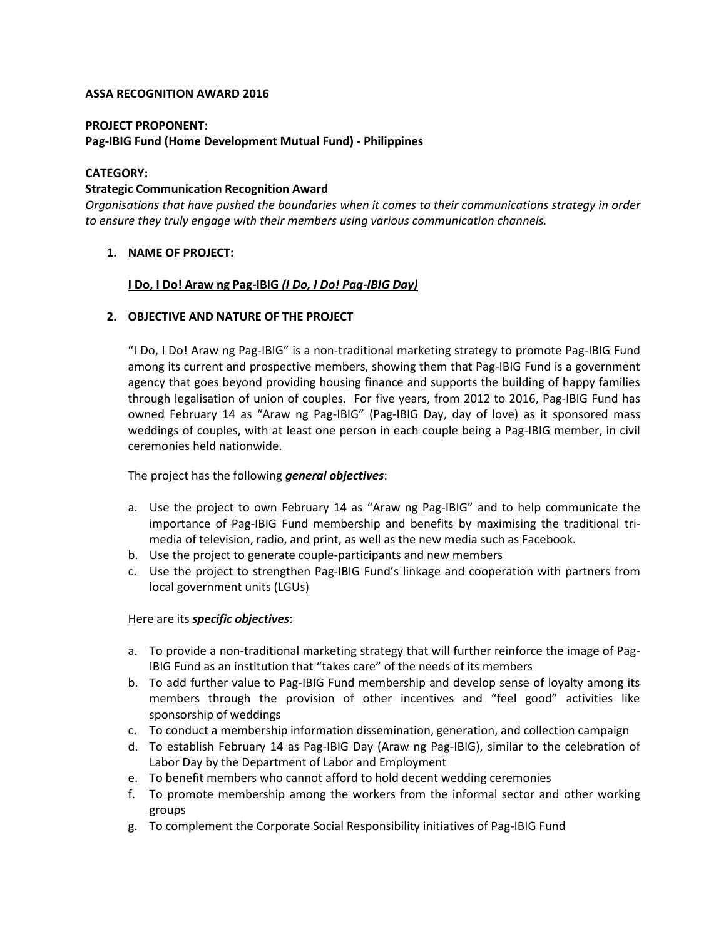# **ASSA RECOGNITION AWARD 2016**

#### **PROJECT PROPONENT:**

# **Pag-IBIG Fund (Home Development Mutual Fund) - Philippines**

## **CATEGORY:**

## **Strategic Communication Recognition Award**

*Organisations that have pushed the boundaries when it comes to their communications strategy in order to ensure they truly engage with their members using various communication channels.*

# **1. NAME OF PROJECT:**

## **I Do, I Do! Araw ng Pag-IBIG** *(I Do, I Do! Pag-IBIG Day)*

## **2. OBJECTIVE AND NATURE OF THE PROJECT**

"I Do, I Do! Araw ng Pag-IBIG" is a non-traditional marketing strategy to promote Pag-IBIG Fund among its current and prospective members, showing them that Pag-IBIG Fund is a government agency that goes beyond providing housing finance and supports the building of happy families through legalisation of union of couples. For five years, from 2012 to 2016, Pag-IBIG Fund has owned February 14 as "Araw ng Pag-IBIG" (Pag-IBIG Day, day of love) as it sponsored mass weddings of couples, with at least one person in each couple being a Pag-IBIG member, in civil ceremonies held nationwide.

# The project has the following *general objectives*:

- a. Use the project to own February 14 as "Araw ng Pag-IBIG" and to help communicate the importance of Pag-IBIG Fund membership and benefits by maximising the traditional trimedia of television, radio, and print, as well as the new media such as Facebook.
- b. Use the project to generate couple-participants and new members
- c. Use the project to strengthen Pag-IBIG Fund's linkage and cooperation with partners from local government units (LGUs)

#### Here are its *specific objectives*:

- a. To provide a non-traditional marketing strategy that will further reinforce the image of Pag-IBIG Fund as an institution that "takes care" of the needs of its members
- b. To add further value to Pag-IBIG Fund membership and develop sense of loyalty among its members through the provision of other incentives and "feel good" activities like sponsorship of weddings
- c. To conduct a membership information dissemination, generation, and collection campaign
- d. To establish February 14 as Pag-IBIG Day (Araw ng Pag-IBIG), similar to the celebration of Labor Day by the Department of Labor and Employment
- e. To benefit members who cannot afford to hold decent wedding ceremonies
- f. To promote membership among the workers from the informal sector and other working groups
- g. To complement the Corporate Social Responsibility initiatives of Pag-IBIG Fund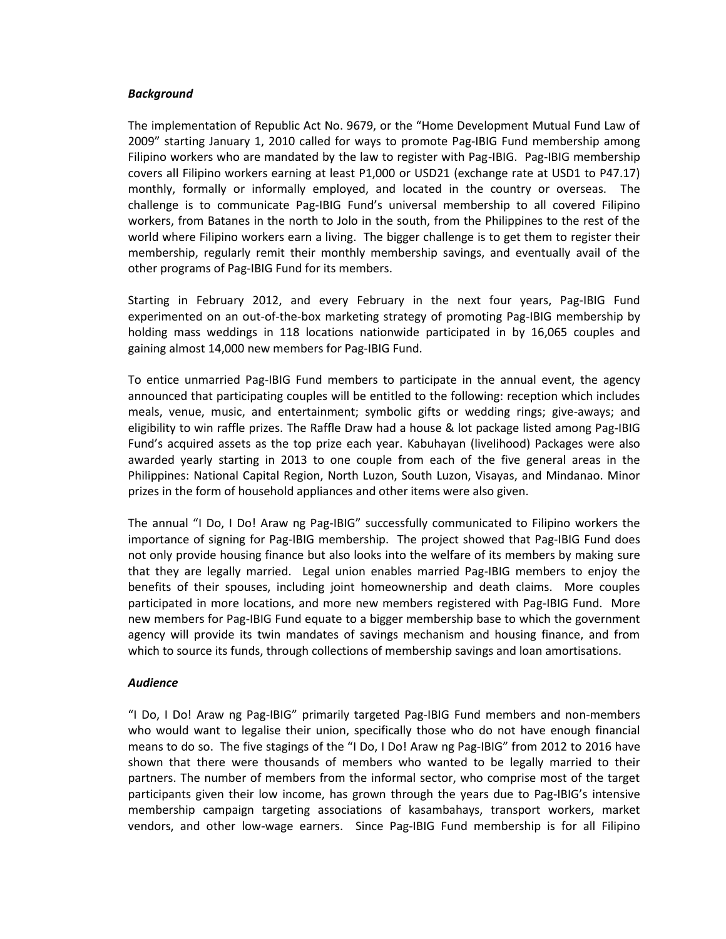#### *Background*

The implementation of Republic Act No. 9679, or the "Home Development Mutual Fund Law of 2009" starting January 1, 2010 called for ways to promote Pag-IBIG Fund membership among Filipino workers who are mandated by the law to register with Pag-IBIG. Pag-IBIG membership covers all Filipino workers earning at least P1,000 or USD21 (exchange rate at USD1 to P47.17) monthly, formally or informally employed, and located in the country or overseas. The challenge is to communicate Pag-IBIG Fund's universal membership to all covered Filipino workers, from Batanes in the north to Jolo in the south, from the Philippines to the rest of the world where Filipino workers earn a living. The bigger challenge is to get them to register their membership, regularly remit their monthly membership savings, and eventually avail of the other programs of Pag-IBIG Fund for its members.

Starting in February 2012, and every February in the next four years, Pag-IBIG Fund experimented on an out-of-the-box marketing strategy of promoting Pag-IBIG membership by holding mass weddings in 118 locations nationwide participated in by 16,065 couples and gaining almost 14,000 new members for Pag-IBIG Fund.

To entice unmarried Pag-IBIG Fund members to participate in the annual event, the agency announced that participating couples will be entitled to the following: reception which includes meals, venue, music, and entertainment; symbolic gifts or wedding rings; give-aways; and eligibility to win raffle prizes. The Raffle Draw had a house & lot package listed among Pag-IBIG Fund's acquired assets as the top prize each year. Kabuhayan (livelihood) Packages were also awarded yearly starting in 2013 to one couple from each of the five general areas in the Philippines: National Capital Region, North Luzon, South Luzon, Visayas, and Mindanao. Minor prizes in the form of household appliances and other items were also given.

The annual "I Do, I Do! Araw ng Pag-IBIG" successfully communicated to Filipino workers the importance of signing for Pag-IBIG membership. The project showed that Pag-IBIG Fund does not only provide housing finance but also looks into the welfare of its members by making sure that they are legally married. Legal union enables married Pag-IBIG members to enjoy the benefits of their spouses, including joint homeownership and death claims. More couples participated in more locations, and more new members registered with Pag-IBIG Fund. More new members for Pag-IBIG Fund equate to a bigger membership base to which the government agency will provide its twin mandates of savings mechanism and housing finance, and from which to source its funds, through collections of membership savings and loan amortisations.

#### *Audience*

"I Do, I Do! Araw ng Pag-IBIG" primarily targeted Pag-IBIG Fund members and non-members who would want to legalise their union, specifically those who do not have enough financial means to do so. The five stagings of the "I Do, I Do! Araw ng Pag-IBIG" from 2012 to 2016 have shown that there were thousands of members who wanted to be legally married to their partners. The number of members from the informal sector, who comprise most of the target participants given their low income, has grown through the years due to Pag-IBIG's intensive membership campaign targeting associations of kasambahays, transport workers, market vendors, and other low-wage earners. Since Pag-IBIG Fund membership is for all Filipino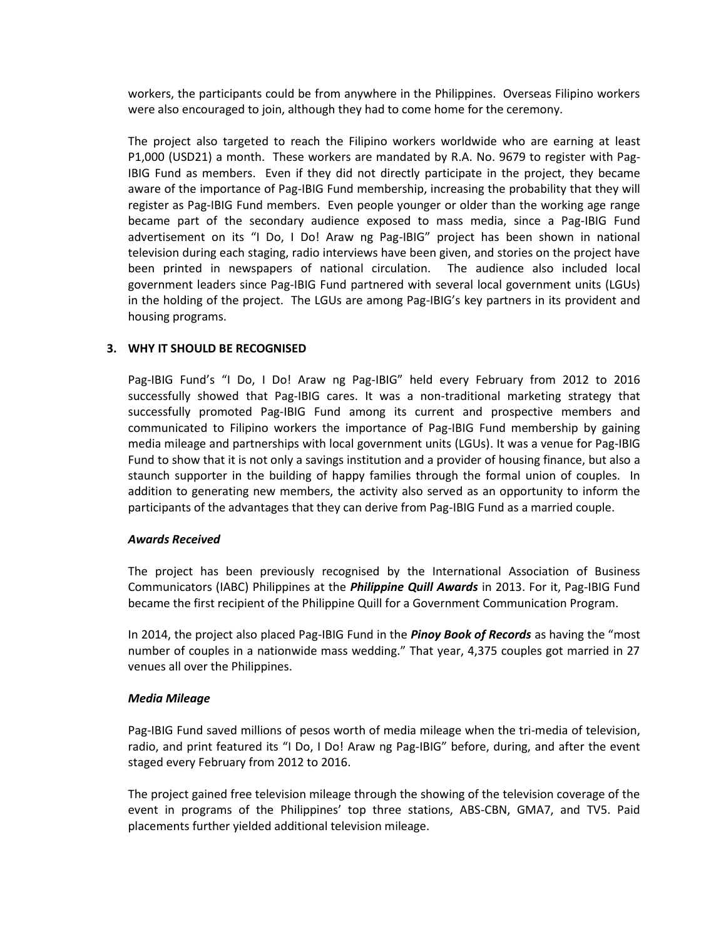workers, the participants could be from anywhere in the Philippines. Overseas Filipino workers were also encouraged to join, although they had to come home for the ceremony.

The project also targeted to reach the Filipino workers worldwide who are earning at least P1,000 (USD21) a month. These workers are mandated by R.A. No. 9679 to register with Pag-IBIG Fund as members. Even if they did not directly participate in the project, they became aware of the importance of Pag-IBIG Fund membership, increasing the probability that they will register as Pag-IBIG Fund members. Even people younger or older than the working age range became part of the secondary audience exposed to mass media, since a Pag-IBIG Fund advertisement on its "I Do, I Do! Araw ng Pag-IBIG" project has been shown in national television during each staging, radio interviews have been given, and stories on the project have been printed in newspapers of national circulation. The audience also included local government leaders since Pag-IBIG Fund partnered with several local government units (LGUs) in the holding of the project. The LGUs are among Pag-IBIG's key partners in its provident and housing programs.

# **3. WHY IT SHOULD BE RECOGNISED**

Pag-IBIG Fund's "I Do, I Do! Araw ng Pag-IBIG" held every February from 2012 to 2016 successfully showed that Pag-IBIG cares. It was a non-traditional marketing strategy that successfully promoted Pag-IBIG Fund among its current and prospective members and communicated to Filipino workers the importance of Pag-IBIG Fund membership by gaining media mileage and partnerships with local government units (LGUs). It was a venue for Pag-IBIG Fund to show that it is not only a savings institution and a provider of housing finance, but also a staunch supporter in the building of happy families through the formal union of couples. In addition to generating new members, the activity also served as an opportunity to inform the participants of the advantages that they can derive from Pag-IBIG Fund as a married couple.

# *Awards Received*

The project has been previously recognised by the International Association of Business Communicators (IABC) Philippines at the *Philippine Quill Awards* in 2013. For it, Pag-IBIG Fund became the first recipient of the Philippine Quill for a Government Communication Program.

In 2014, the project also placed Pag-IBIG Fund in the *Pinoy Book of Records* as having the "most number of couples in a nationwide mass wedding." That year, 4,375 couples got married in 27 venues all over the Philippines.

# *Media Mileage*

Pag-IBIG Fund saved millions of pesos worth of media mileage when the tri-media of television, radio, and print featured its "I Do, I Do! Araw ng Pag-IBIG" before, during, and after the event staged every February from 2012 to 2016.

The project gained free television mileage through the showing of the television coverage of the event in programs of the Philippines' top three stations, ABS-CBN, GMA7, and TV5. Paid placements further yielded additional television mileage.